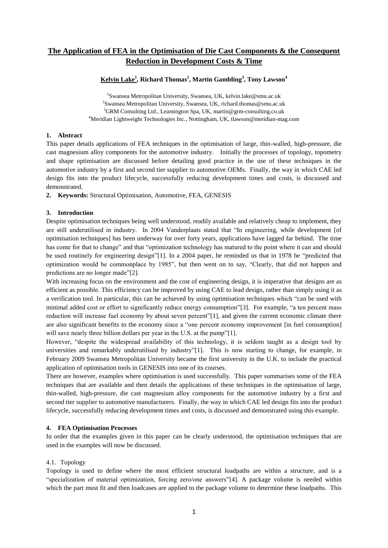# **The Application of FEA in the Optimisation of Die Cast Components & the Consequent Reduction in Development Costs & Time**

# **Kelvin Lake<sup>1</sup> , Richard Thomas<sup>2</sup> , Martin Gambling<sup>3</sup> , Tony Lawson<sup>4</sup>**

 Swansea Metropolitan University, Swansea, UK, kelvin.lake@smu.ac.uk <sup>2</sup>Swansea Metropolitan University, Swansea, UK, richard.thomas@smu.ac.uk GRM Consulting Ltd., Leamington Spa, UK, martin@grm-consulting.co.uk Meridian Lightweight Technologies Inc., Nottingham, UK, tlawson@meridian-mag.com

#### **1. Abstract**

This paper details applications of FEA techniques in the optimisation of large, thin-walled, high-pressure, die cast magnesium alloy components for the automotive industry. Initially the processes of topology, topometry and shape optimisation are discussed before detailing good practice in the use of these techniques in the automotive industry by a first and second tier supplier to automotive OEMs. Finally, the way in which CAE led design fits into the product lifecycle, successfully reducing development times and costs, is discussed and demonstrated.

**2. Keywords:** Structural Optimisation, Automotive, FEA, GENESIS

# **3. Introduction**

Despite optimisation techniques being well understood, readily available and relatively cheap to implement, they are still underutilised in industry. In 2004 Vanderplaats stated that "In engineering, while development [of optimisation techniques] has been underway for over forty years, applications have lagged far behind. The time has come for that to change" and that "optimization technology has matured to the point where it can and should be used routinely for engineering design"[1]. In a 2004 paper, he reminded us that in 1978 he "predicted that optimization would be commonplace by 1985", but then went on to say, "Clearly, that did not happen and predictions are no longer made"[2].

With increasing focus on the environment and the cost of engineering design, it is imperative that designs are as efficient as possible. This efficiency can be improved by using CAE to lead design, rather than simply using it as a verification tool. In particular, this can be achieved by using optimisation techniques which "can be used with minimal added cost or effort to significantly reduce energy consumption"[3]. For example, "a ten percent mass reduction will increase fuel economy by about seven percent"[1], and given the current economic climate there are also significant benefits to the economy since a "one percent economy improvement [in fuel consumption] will save nearly three billion dollars per year in the U.S. at the pump"[1].

However, "despite the widespread availability of this technology, it is seldom taught as a design tool by universities and remarkably underutilised by industry"[1]. This is now starting to change, for example, in February 2009 Swansea Metropolitan University became the first university in the U.K. to include the practical application of optimisation tools in GENESIS into one of its courses.

There are however, examples where optimisation is used successfully. This paper summarises some of the FEA techniques that are available and then details the applications of these techniques in the optimisation of large, thin-walled, high-pressure, die cast magnesium alloy components for the automotive industry by a first and second tier supplier to automotive manufacturers. Finally, the way in which CAE led design fits into the product lifecycle, successfully reducing development times and costs, is discussed and demonstrated using this example.

#### **4. FEA Optimisation Processes**

In order that the examples given in this paper can be clearly understood, the optimisation techniques that are used in the examples will now be discussed.

# 4.1. Topology

Topology is used to define where the most efficient structural loadpaths are within a structure, and is a "specialization of material optimization, forcing zero/one answers"[4]. A package volume is needed within which the part must fit and then loadcases are applied to the package volume to determine these loadpaths. This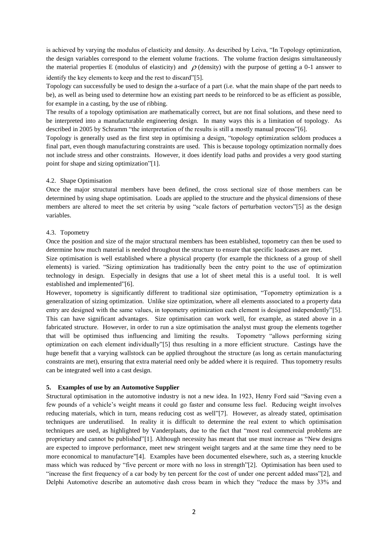is achieved by varying the modulus of elasticity and density. As described by Leiva, "In Topology optimization, the design variables correspond to the element volume fractions. The volume fraction designs simultaneously the material properties E (modulus of elasticity) and  $\rho$  (density) with the purpose of getting a 0-1 answer to identify the key elements to keep and the rest to discard"[5].

Topology can successfully be used to design the a-surface of a part (i.e. what the main shape of the part needs to be), as well as being used to determine how an existing part needs to be reinforced to be as efficient as possible, for example in a casting, by the use of ribbing.

The results of a topology optimisation are mathematically correct, but are not final solutions, and these need to be interpreted into a manufacturable engineering design. In many ways this is a limitation of topology. As described in 2005 by Schramm "the interpretation of the results is still a mostly manual process"[6].

Topology is generally used as the first step in optimising a design, "topology optimization seldom produces a final part, even though manufacturing constraints are used. This is because topology optimization normally does not include stress and other constraints. However, it does identify load paths and provides a very good starting point for shape and sizing optimization"[1].

#### 4.2. Shape Optimisation

Once the major structural members have been defined, the cross sectional size of those members can be determined by using shape optimisation. Loads are applied to the structure and the physical dimensions of these members are altered to meet the set criteria by using "scale factors of perturbation vectors"[5] as the design variables.

### 4.3. Topometry

Once the position and size of the major structural members has been established, topometry can then be used to determine how much material is needed throughout the structure to ensure that specific loadcases are met.

Size optimisation is well established where a physical property (for example the thickness of a group of shell elements) is varied. "Sizing optimization has traditionally been the entry point to the use of optimization technology in design. Especially in designs that use a lot of sheet metal this is a useful tool. It is well established and implemented"[6].

However, topometry is significantly different to traditional size optimisation, "Topometry optimization is a generalization of sizing optimization. Unlike size optimization, where all elements associated to a property data entry are designed with the same values, in topometry optimization each element is designed independently"[5]. This can have significant advantages. Size optimisation can work well, for example, as stated above in a fabricated structure. However, in order to run a size optimisation the analyst must group the elements together that will be optimised thus influencing and limiting the results. Topometry "allows performing sizing optimization on each element individually"[5] thus resulting in a more efficient structure. Castings have the huge benefit that a varying wallstock can be applied throughout the structure (as long as certain manufacturing constraints are met), ensuring that extra material need only be added where it is required. Thus topometry results can be integrated well into a cast design.

#### **5. Examples of use by an Automotive Supplier**

Structural optimisation in the automotive industry is not a new idea. In 1923, Henry Ford said "Saving even a few pounds of a vehicle"s weight means it could go faster and consume less fuel. Reducing weight involves reducing materials, which in turn, means reducing cost as well"[7]. However, as already stated, optimisation techniques are underutilised. In reality it is difficult to determine the real extent to which optimisation techniques are used, as highlighted by Vanderplaats, due to the fact that "most real commercial problems are proprietary and cannot be published"[1]. Although necessity has meant that use must increase as "New designs are expected to improve performance, meet new stringent weight targets and at the same time they need to be more economical to manufacture"[4]. Examples have been documented elsewhere, such as, a steering knuckle mass which was reduced by "five percent or more with no loss in strength"[2]. Optimisation has been used to "increase the first frequency of a car body by ten percent for the cost of under one percent added mass"[2], and Delphi Automotive describe an automotive dash cross beam in which they "reduce the mass by 33% and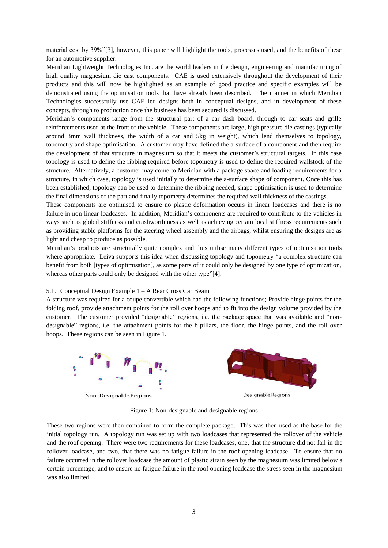material cost by 39%"[3], however, this paper will highlight the tools, processes used, and the benefits of these for an automotive supplier.

Meridian Lightweight Technologies Inc. are the world leaders in the design, engineering and manufacturing of high quality magnesium die cast components. CAE is used extensively throughout the development of their products and this will now be highlighted as an example of good practice and specific examples will be demonstrated using the optimisation tools that have already been described. The manner in which Meridian Technologies successfully use CAE led designs both in conceptual designs, and in development of these concepts, through to production once the business has been secured is discussed.

Meridian"s components range from the structural part of a car dash board, through to car seats and grille reinforcements used at the front of the vehicle. These components are large, high pressure die castings (typically around 3mm wall thickness, the width of a car and 5kg in weight), which lend themselves to topology, topometry and shape optimisation. A customer may have defined the a-surface of a component and then require the development of that structure in magnesium so that it meets the customer"s structural targets. In this case topology is used to define the ribbing required before topometry is used to define the required wallstock of the structure. Alternatively, a customer may come to Meridian with a package space and loading requirements for a structure, in which case, topology is used initially to determine the a-surface shape of component. Once this has been established, topology can be used to determine the ribbing needed, shape optimisation is used to determine the final dimensions of the part and finally topometry determines the required wall thickness of the castings.

These components are optimised to ensure no plastic deformation occurs in linear loadcases and there is no failure in non-linear loadcases. In addition, Meridian"s components are required to contribute to the vehicles in ways such as global stiffness and crashworthiness as well as achieving certain local stiffness requirements such as providing stable platforms for the steering wheel assembly and the airbags, whilst ensuring the designs are as light and cheap to produce as possible.

Meridian"s products are structurally quite complex and thus utilise many different types of optimisation tools where appropriate. Leiva supports this idea when discussing topology and topometry "a complex structure can benefit from both [types of optimisation], as some parts of it could only be designed by one type of optimization, whereas other parts could only be designed with the other type"[4].

#### 5.1. Conceptual Design Example 1 – A Rear Cross Car Beam

A structure was required for a coupe convertible which had the following functions; Provide hinge points for the folding roof, provide attachment points for the roll over hoops and to fit into the design volume provided by the customer. The customer provided "designable" regions, i.e. the package space that was available and "nondesignable" regions, i.e. the attachment points for the b-pillars, the floor, the hinge points, and the roll over hoops. These regions can be seen in Figure 1.



Figure 1: Non-designable and designable regions

These two regions were then combined to form the complete package. This was then used as the base for the initial topology run. A topology run was set up with two loadcases that represented the rollover of the vehicle and the roof opening. There were two requirements for these loadcases, one, that the structure did not fail in the rollover loadcase, and two, that there was no fatigue failure in the roof opening loadcase. To ensure that no failure occurred in the rollover loadcase the amount of plastic strain seen by the magnesium was limited below a certain percentage, and to ensure no fatigue failure in the roof opening loadcase the stress seen in the magnesium was also limited.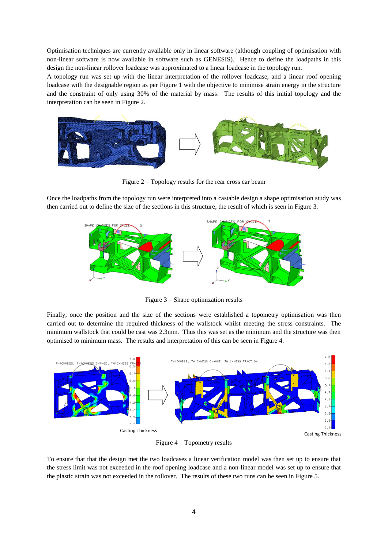Optimisation techniques are currently available only in linear software (although coupling of optimisation with non-linear software is now available in software such as GENESIS). Hence to define the loadpaths in this design the non-linear rollover loadcase was approximated to a linear loadcase in the topology run.

A topology run was set up with the linear interpretation of the rollover loadcase, and a linear roof opening loadcase with the designable region as per Figure 1 with the objective to minimise strain energy in the structure and the constraint of only using 30% of the material by mass. The results of this initial topology and the interpretation can be seen in Figure 2.



Figure 2 – Topology results for the rear cross car beam

Once the loadpaths from the topology run were interpreted into a castable design a shape optimisation study was then carried out to define the size of the sections in this structure, the result of which is seen in Figure 3.



Figure 3 – Shape optimization results

Finally, once the position and the size of the sections were established a topometry optimisation was then carried out to determine the required thickness of the wallstock whilst meeting the stress constraints. The minimum wallstock that could be cast was 2.3mm. Thus this was set as the minimum and the structure was then optimised to minimum mass. The results and interpretation of this can be seen in Figure 4.



Figure 4 – Topometry results

To ensure that that the design met the two loadcases a linear verification model was then set up to ensure that the stress limit was not exceeded in the roof opening loadcase and a non-linear model was set up to ensure that the plastic strain was not exceeded in the rollover. The results of these two runs can be seen in Figure 5.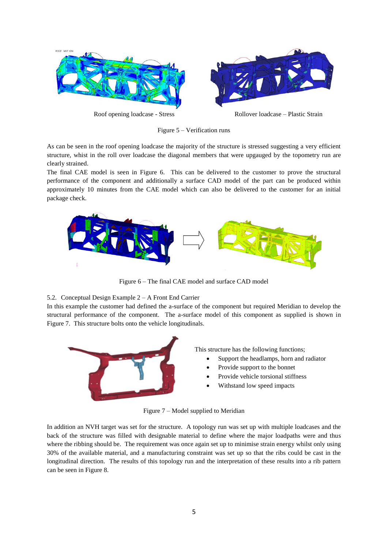

Figure 5 – Verification runs

As can be seen in the roof opening loadcase the majority of the structure is stressed suggesting a very efficient structure, whist in the roll over loadcase the diagonal members that were upgauged by the topometry run are clearly strained.

The final CAE model is seen in Figure 6. This can be delivered to the customer to prove the structural performance of the component and additionally a surface CAD model of the part can be produced within approximately 10 minutes from the CAE model which can also be delivered to the customer for an initial package check.



Figure 6 – The final CAE model and surface CAD model

#### 5.2. Conceptual Design Example 2 – A Front End Carrier

In this example the customer had defined the a-surface of the component but required Meridian to develop the structural performance of the component. The a-surface model of this component as supplied is shown in Figure 7. This structure bolts onto the vehicle longitudinals.



This structure has the following functions;

- Support the headlamps, horn and radiator
- Provide support to the bonnet
- Provide vehicle torsional stiffness
- Withstand low speed impacts

Figure 7 – Model supplied to Meridian

In addition an NVH target was set for the structure. A topology run was set up with multiple loadcases and the back of the structure was filled with designable material to define where the major loadpaths were and thus where the ribbing should be. The requirement was once again set up to minimise strain energy whilst only using 30% of the available material, and a manufacturing constraint was set up so that the ribs could be cast in the longitudinal direction. The results of this topology run and the interpretation of these results into a rib pattern can be seen in Figure 8.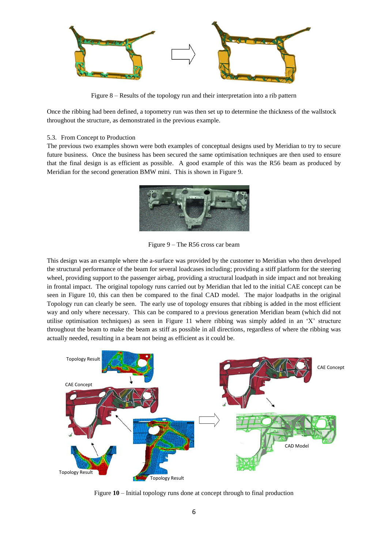

Figure 8 – Results of the topology run and their interpretation into a rib pattern

Once the ribbing had been defined, a topometry run was then set up to determine the thickness of the wallstock throughout the structure, as demonstrated in the previous example.

#### 5.3. From Concept to Production

The previous two examples shown were both examples of conceptual designs used by Meridian to try to secure future business. Once the business has been secured the same optimisation techniques are then used to ensure that the final design is as efficient as possible. A good example of this was the R56 beam as produced by Meridian for the second generation BMW mini. This is shown in Figure 9.



Figure 9 – The R56 cross car beam

This design was an example where the a-surface was provided by the customer to Meridian who then developed the structural performance of the beam for several loadcases including; providing a stiff platform for the steering wheel, providing support to the passenger airbag, providing a structural loadpath in side impact and not breaking in frontal impact. The original topology runs carried out by Meridian that led to the initial CAE concept can be seen in Figure 10, this can then be compared to the final CAD model. The major loadpaths in the original Topology run can clearly be seen. The early use of topology ensures that ribbing is added in the most efficient way and only where necessary. This can be compared to a previous generation Meridian beam (which did not utilise optimisation techniques) as seen in Figure 11 where ribbing was simply added in an "X" structure throughout the beam to make the beam as stiff as possible in all directions, regardless of where the ribbing was actually needed, resulting in a beam not being as efficient as it could be.



Figure **10** – Initial topology runs done at concept through to final production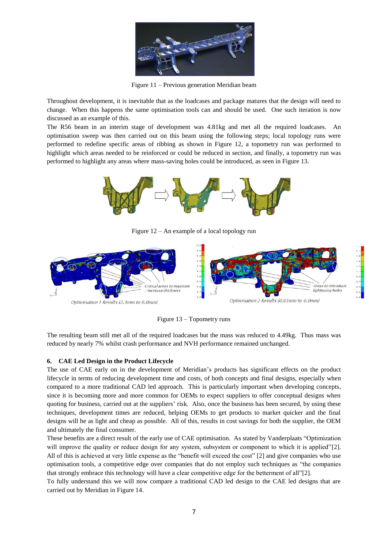

Figure 11 – Previous generation Meridian beam

Throughout development, it is inevitable that as the loadcases and package matures that the design will need to change. When this happens the same optimisation tools can and should be used. One such iteration is now discussed as an example of this.

The R56 beam in an interim stage of development was 4.81kg and met all the required loadcases. An optimisation sweep was then carried out on this beam using the following steps; local topology runs were performed to redefine specific areas of ribbing as shown in Figure 12, a topometry run was performed to highlight which areas needed to be reinforced or could be reduced in section, and finally, a topometry run was performed to highlight any areas where mass-saving holes could be introduced, as seen in Figure 13.



Figure 12 – An example of a local topology run



Figure 13 – Topometry runs

The resulting beam still met all of the required loadcases but the mass was reduced to 4.49kg. Thus mass was reduced by nearly 7% whilst crash performance and NVH performance remained unchanged.

#### **6. CAE Led Design in the Product Lifecycle**

The use of CAE early on in the development of Meridian"s products has significant effects on the product lifecycle in terms of reducing development time and costs, of both concepts and final designs, especially when compared to a more traditional CAD led approach. This is particularly important when developing concepts, since it is becoming more and more common for OEMs to expect suppliers to offer conceptual designs when quoting for business, carried out at the suppliers' risk. Also, once the business has been secured, by using these techniques, development times are reduced, helping OEMs to get products to market quicker and the final designs will be as light and cheap as possible. All of this, results in cost savings for both the supplier, the OEM and ultimately the final consumer.

These benefits are a direct result of the early use of CAE optimisation. As stated by Vanderplaats "Optimization will improve the quality or reduce design for any system, subsystem or component to which it is applied"[2]. All of this is achieved at very little expense as the "benefit will exceed the cost" [2] and give companies who use optimisation tools, a competitive edge over companies that do not employ such techniques as "the companies that strongly embrace this technology will have a clear competitive edge for the betterment of all"[2].

To fully understand this we will now compare a traditional CAD led design to the CAE led designs that are carried out by Meridian in Figure 14.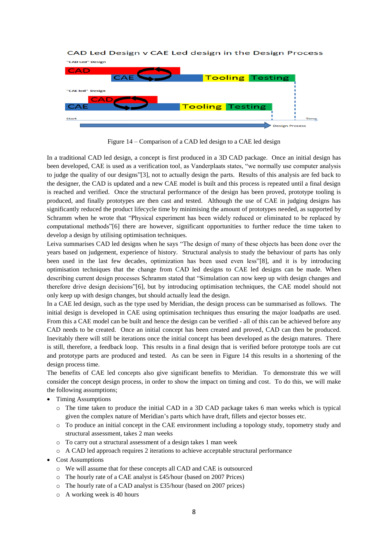# CAD Led Design v CAE Led design in the Design Process



Figure 14 – Comparison of a CAD led design to a CAE led design

In a traditional CAD led design, a concept is first produced in a 3D CAD package. Once an initial design has been developed, CAE is used as a verification tool, as Vanderplaats states, "we normally use computer analysis to judge the quality of our designs"[3], not to actually design the parts. Results of this analysis are fed back to the designer, the CAD is updated and a new CAE model is built and this process is repeated until a final design is reached and verified. Once the structural performance of the design has been proved, prototype tooling is produced, and finally prototypes are then cast and tested. Although the use of CAE in judging designs has significantly reduced the product lifecycle time by minimising the amount of prototypes needed, as supported by Schramm when he wrote that "Physical experiment has been widely reduced or eliminated to be replaced by computational methods"[6] there are however, significant opportunities to further reduce the time taken to develop a design by utilising optimisation techniques.

Leiva summarises CAD led designs when he says "The design of many of these objects has been done over the years based on judgement, experience of history. Structural analysis to study the behaviour of parts has only been used in the last few decades, optimization has been used even less"[8], and it is by introducing optimisation techniques that the change from CAD led designs to CAE led designs can be made. When describing current design processes Schramm stated that "Simulation can now keep up with design changes and therefore drive design decisions"[6], but by introducing optimisation techniques, the CAE model should not only keep up with design changes, but should actually lead the design.

In a CAE led design, such as the type used by Meridian, the design process can be summarised as follows. The initial design is developed in CAE using optimisation techniques thus ensuring the major loadpaths are used. From this a CAE model can be built and hence the design can be verified - all of this can be achieved before any CAD needs to be created. Once an initial concept has been created and proved, CAD can then be produced. Inevitably there will still be iterations once the initial concept has been developed as the design matures. There is still, therefore, a feedback loop. This results in a final design that is verified before prototype tools are cut and prototype parts are produced and tested. As can be seen in Figure 14 this results in a shortening of the design process time.

The benefits of CAE led concepts also give significant benefits to Meridian. To demonstrate this we will consider the concept design process, in order to show the impact on timing and cost. To do this, we will make the following assumptions;

- Timing Assumptions
	- o The time taken to produce the initial CAD in a 3D CAD package takes 6 man weeks which is typical given the complex nature of Meridian"s parts which have draft, fillets and ejector bosses etc.
	- $\circ$  To produce an initial concept in the CAE environment including a topology study, topometry study and structural assessment, takes 2 man weeks
	- o To carry out a structural assessment of a design takes 1 man week
	- o A CAD led approach requires 2 iterations to achieve acceptable structural performance
- Cost Assumptions
	- o We will assume that for these concepts all CAD and CAE is outsourced
	- o The hourly rate of a CAE analyst is £45/hour (based on 2007 Prices)
	- o The hourly rate of a CAD analyst is £35/hour (based on 2007 prices)
	- o A working week is 40 hours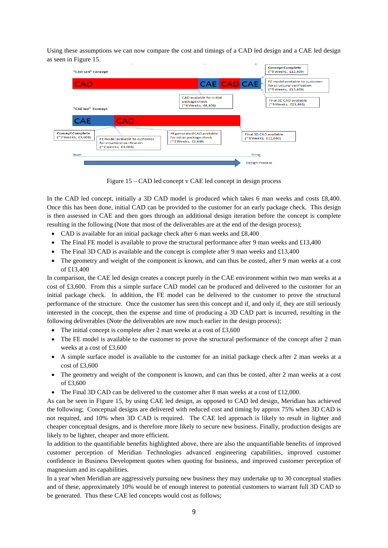Using these assumptions we can now compare the cost and timings of a CAD led design and a CAE led design as seen in Figure 15.



Figure 15 – CAD led concept v CAE led concept in design process

In the CAD led concept, initially a 3D CAD model is produced which takes 6 man weeks and costs £8,400. Once this has been done, initial CAD can be provided to the customer for an early package check. This design is then assessed in CAE and then goes through an additional design iteration before the concept is complete resulting in the following (Note that most of the deliverables are at the end of the design process);

- CAD is available for an initial package check after 6 man weeks and £8,400
- The Final FE model is available to prove the structural performance after 9 man weeks and £13,400
- The Final 3D CAD is available and the concept is complete after 9 man weeks and  $\pounds$ 13,400
- The geometry and weight of the component is known, and can thus be costed, after 9 man weeks at a cost of £13,400

In comparison, the CAE led design creates a concept purely in the CAE environment within two man weeks at a cost of £3,600. From this a simple surface CAD model can be produced and delivered to the customer for an initial package check. In addition, the FE model can be delivered to the customer to prove the structural performance of the structure. Once the customer has seen this concept and if, and only if, they are still seriously interested in the concept, then the expense and time of producing a 3D CAD part is incurred, resulting in the following deliverables (Note the deliverables are now much earlier in the design process);

- The initial concept is complete after 2 man weeks at a cost of  $£3,600$
- The FE model is available to the customer to prove the structural performance of the concept after 2 man weeks at a cost of £3,600
- A simple surface model is available to the customer for an initial package check after 2 man weeks at a cost of £3,600
- The geometry and weight of the component is known, and can thus be costed, after 2 man weeks at a cost of £3,600
- The Final 3D CAD can be delivered to the customer after 8 man weeks at a cost of £12,000.

As can be seen in Figure 15, by using CAE led design, as opposed to CAD led design, Meridian has achieved the following; Conceptual designs are delivered with reduced cost and timing by approx 75% when 3D CAD is not required, and 10% when 3D CAD is required. The CAE led approach is likely to result in lighter and cheaper conceptual designs, and is therefore more likely to secure new business. Finally, production designs are likely to be lighter, cheaper and more efficient.

In addition to the quantifiable benefits highlighted above, there are also the unquantifiable benefits of improved customer perception of Meridian Technologies advanced engineering capabilities, improved customer confidence in Business Development quotes when quoting for business, and improved customer perception of magnesium and its capabilities.

In a year when Meridian are aggressively pursuing new business they may undertake up to 30 conceptual studies and of these, approximately 10% would be of enough interest to potential customers to warrant full 3D CAD to be generated. Thus these CAE led concepts would cost as follows;